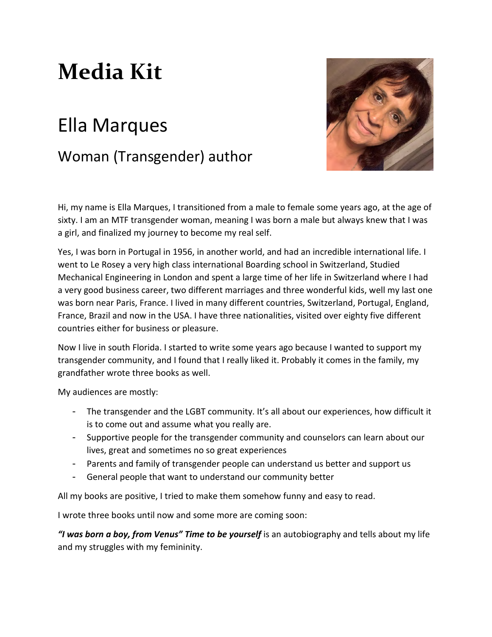# **Media Kit**

# Ella Marques Woman (Transgender) author



Hi, my name is Ella Marques, I transitioned from a male to female some years ago, at the age of sixty. I am an MTF transgender woman, meaning I was born a male but always knew that I was a girl, and finalized my journey to become my real self.

Yes, I was born in Portugal in 1956, in another world, and had an incredible international life. I went to Le Rosey a very high class international Boarding school in Switzerland, Studied Mechanical Engineering in London and spent a large time of her life in Switzerland where I had a very good business career, two different marriages and three wonderful kids, well my last one was born near Paris, France. I lived in many different countries, Switzerland, Portugal, England, France, Brazil and now in the USA. I have three nationalities, visited over eighty five different countries either for business or pleasure.

Now I live in south Florida. I started to write some years ago because I wanted to support my transgender community, and I found that I really liked it. Probably it comes in the family, my grandfather wrote three books as well.

My audiences are mostly:

- The transgender and the LGBT community. It's all about our experiences, how difficult it is to come out and assume what you really are.
- Supportive people for the transgender community and counselors can learn about our lives, great and sometimes no so great experiences
- Parents and family of transgender people can understand us better and support us
- General people that want to understand our community better

All my books are positive, I tried to make them somehow funny and easy to read.

I wrote three books until now and some more are coming soon:

*"I was born a boy, from Venus" Time to be yourself* is an autobiography and tells about my life and my struggles with my femininity.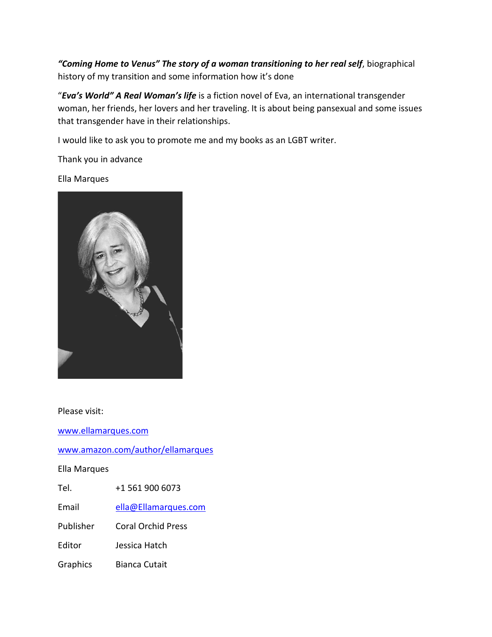*"Coming Home to Venus" The story of a woman transitioning to her real self*, biographical history of my transition and some information how it's done

"*Eva's World" A Real Woman's life* is a fiction novel of Eva, an international transgender woman, her friends, her lovers and her traveling. It is about being pansexual and some issues that transgender have in their relationships.

I would like to ask you to promote me and my books as an LGBT writer.

Thank you in advance

Ella Marques



Please visit:

[www.ellamarques.com](http://www.ellamarques.com/)

[www.amazon.com/author/ellamarques](http://www.amazon.com/author/ellamarques)

Ella Marques

Tel. +1 561 900 6073

Email [ella@Ellamarques.com](mailto:ella@Ellamarques.com)

Publisher Coral Orchid Press

Editor Jessica Hatch

Graphics Bianca Cutait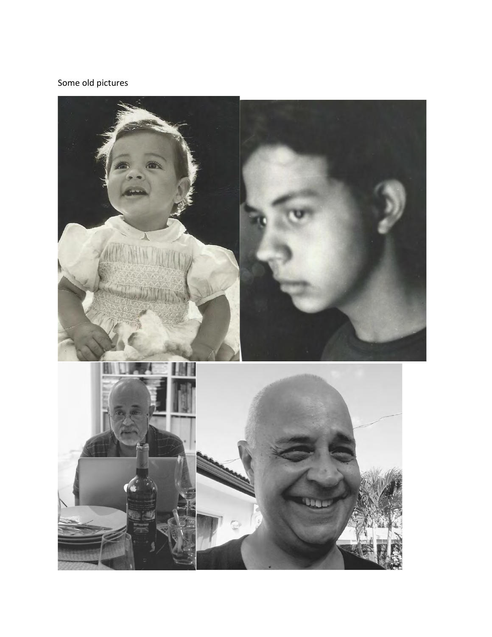## Some old pictures

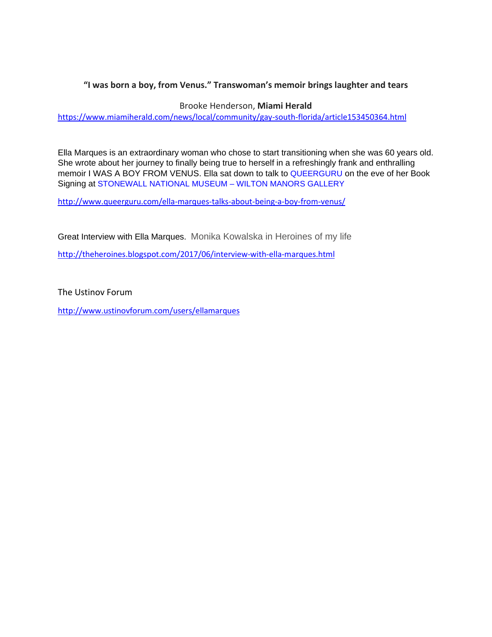### **"I was born a boy, from Venus." Transwoman's memoir brings laughter and tears**

Brooke Henderson, **Miami Herald**

<https://www.miamiherald.com/news/local/community/gay-south-florida/article153450364.html>

Ella Marques is an extraordinary woman who chose to start transitioning when she was 60 years old. She wrote about her journey to finally being true to herself in a refreshingly frank and enthralling memoir I WAS A BOY FROM VENUS. Ella sat down to talk to [QUEERGURU](https://www.facebook.com/queerguru/?fref=mentions) on the eve of her Book Signing at [STONEWALL NATIONAL MUSEUM – WILTON MANORS GALLERY](https://www.facebook.com/StonewallNationalMuseum/?fref=mentions) 

<http://www.queerguru.com/ella-marques-talks-about-being-a-boy-from-venus/>

Great Interview with Ella Marques. Monika Kowalska in Heroines of my life

<http://theheroines.blogspot.com/2017/06/interview-with-ella-marques.html>

The Ustinov Forum

<http://www.ustinovforum.com/users/ellamarques>